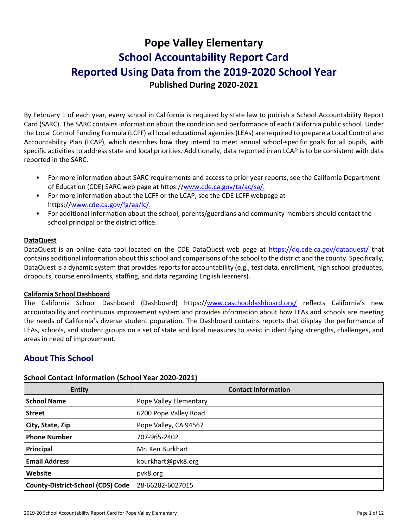# **Pope Valley Elementary School Accountability Report Card Reported Using Data from the 2019-2020 School Year Published During 2020-2021**

By February 1 of each year, every school in California is required by state law to publish a School Accountability Report Card (SARC). The SARC contains information about the condition and performance of each California public school. Under the Local Control Funding Formula (LCFF) all local educational agencies (LEAs) are required to prepare a Local Control and Accountability Plan (LCAP), which describes how they intend to meet annual school-specific goals for all pupils, with specific activities to address state and local priorities. Additionally, data reported in an LCAP is to be consistent with data reported in the SARC.

- For more information about SARC requirements and access to prior year reports, see the California Department of Education (CDE) SARC web page at https://www.cde.ca.gov/ta/ac/sa/.
- For more information about the LCFF or the LCAP, see the CDE LCFF webpage at https://www.cde.ca.gov/fg/aa/lc/.
- For additional information about the school, parents/guardians and community members should contact the school principal or the district office.

### **DataQuest**

DataQuest is an online data tool located on the CDE DataQuest web page at https://dq.cde.ca.gov/dataquest/ that contains additional information about this school and comparisons of the school to the district and the county. Specifically, DataQuest is a dynamic system that provides reports for accountability (e.g., test data, enrollment, high school graduates, dropouts, course enrollments, staffing, and data regarding English learners).

### **California School Dashboard**

The California School Dashboard (Dashboard) https://www.caschooldashboard.org/ reflects California's new accountability and continuous improvement system and provides information about how LEAs and schools are meeting the needs of California's diverse student population. The Dashboard contains reports that display the performance of LEAs, schools, and student groups on a set of state and local measures to assist in identifying strengths, challenges, and areas in need of improvement.

# **About This School**

| <b>Entity</b>                            | <b>Contact Information</b> |
|------------------------------------------|----------------------------|
| <b>School Name</b>                       | Pope Valley Elementary     |
| <b>Street</b>                            | 6200 Pope Valley Road      |
| City, State, Zip                         | Pope Valley, CA 94567      |
| <b>Phone Number</b>                      | 707-965-2402               |
| Principal                                | Mr. Ken Burkhart           |
| <b>Email Address</b>                     | kburkhart@pvk8.org         |
| Website                                  | pvk8.org                   |
| <b>County-District-School (CDS) Code</b> | 28-66282-6027015           |

### **School Contact Information (School Year 2020-2021)**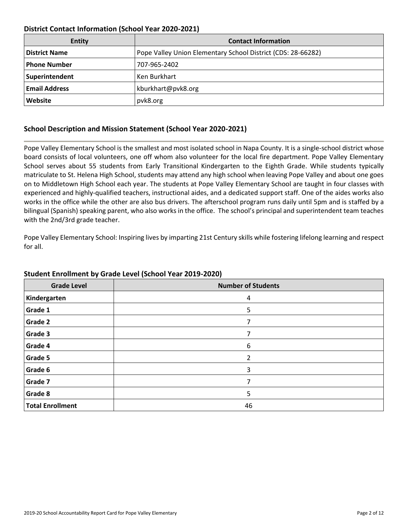### **District Contact Information (School Year 2020-2021)**

| Entity               | <b>Contact Information</b>                                   |
|----------------------|--------------------------------------------------------------|
| <b>District Name</b> | Pope Valley Union Elementary School District (CDS: 28-66282) |
| Phone Number         | 707-965-2402                                                 |
| Superintendent       | Ken Burkhart                                                 |
| <b>Email Address</b> | kburkhart@pvk8.org                                           |
| Website              | pvk8.org                                                     |

### **School Description and Mission Statement (School Year 2020-2021)**

Pope Valley Elementary School is the smallest and most isolated school in Napa County. It is a single-school district whose board consists of local volunteers, one off whom also volunteer for the local fire department. Pope Valley Elementary School serves about 55 students from Early Transitional Kindergarten to the Eighth Grade. While students typically matriculate to St. Helena High School, students may attend any high school when leaving Pope Valley and about one goes on to Middletown High School each year. The students at Pope Valley Elementary School are taught in four classes with experienced and highly-qualified teachers, instructional aides, and a dedicated support staff. One of the aides works also works in the office while the other are also bus drivers. The afterschool program runs daily until 5pm and is staffed by a bilingual (Spanish) speaking parent, who also works in the office. The school's principal and superintendent team teaches with the 2nd/3rd grade teacher.

Pope Valley Elementary School: Inspiring lives by imparting 21st Century skills while fostering lifelong learning and respect for all.

| <b>Grade Level</b>      | <b>Number of Students</b> |
|-------------------------|---------------------------|
| Kindergarten            | 4                         |
| <b>Grade 1</b>          | 5                         |
| <b>Grade 2</b>          | 7                         |
| <b>Grade 3</b>          |                           |
| Grade 4                 | 6                         |
| <b>Grade 5</b>          | $\mathcal{P}$             |
| Grade 6                 | 3                         |
| Grade 7                 | 7                         |
| <b>Grade 8</b>          | 5                         |
| <b>Total Enrollment</b> | 46                        |

### **Student Enrollment by Grade Level (School Year 2019-2020)**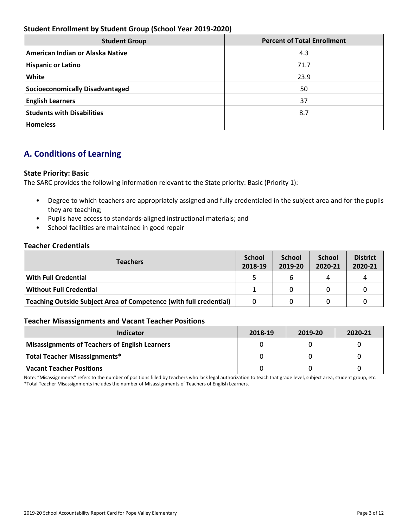### **Student Enrollment by Student Group (School Year 2019-2020)**

| <b>Student Group</b>                   | <b>Percent of Total Enrollment</b> |
|----------------------------------------|------------------------------------|
| American Indian or Alaska Native       | 4.3                                |
| <b>Hispanic or Latino</b>              | 71.7                               |
| White                                  | 23.9                               |
| <b>Socioeconomically Disadvantaged</b> | 50                                 |
| <b>English Learners</b>                | 37                                 |
| <b>Students with Disabilities</b>      | 8.7                                |
| <b>Homeless</b>                        |                                    |

# **A. Conditions of Learning**

### **State Priority: Basic**

The SARC provides the following information relevant to the State priority: Basic (Priority 1):

- Degree to which teachers are appropriately assigned and fully credentialed in the subject area and for the pupils they are teaching;
- Pupils have access to standards-aligned instructional materials; and
- School facilities are maintained in good repair

### **Teacher Credentials**

| <b>Teachers</b>                                                    | <b>School</b><br>2018-19 | <b>School</b><br>2019-20 | <b>School</b><br>2020-21 | <b>District</b><br>2020-21 |
|--------------------------------------------------------------------|--------------------------|--------------------------|--------------------------|----------------------------|
| <b>With Full Credential</b>                                        |                          | 6                        | 4                        |                            |
| <b>Without Full Credential</b>                                     |                          | 0                        |                          |                            |
| Teaching Outside Subject Area of Competence (with full credential) |                          | 0                        |                          |                            |

### **Teacher Misassignments and Vacant Teacher Positions**

| Indicator                                      | 2018-19 | 2019-20 | 2020-21 |
|------------------------------------------------|---------|---------|---------|
| Misassignments of Teachers of English Learners |         |         |         |
| Total Teacher Misassignments*                  |         |         |         |
| Vacant Teacher Positions                       |         |         |         |

Note: "Misassignments" refers to the number of positions filled by teachers who lack legal authorization to teach that grade level, subject area, student group, etc. \*Total Teacher Misassignments includes the number of Misassignments of Teachers of English Learners.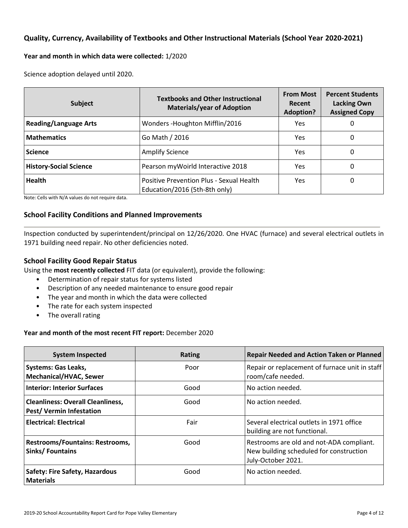### **Quality, Currency, Availability of Textbooks and Other Instructional Materials (School Year 2020-2021)**

### **Year and month in which data were collected:** 1/2020

Science adoption delayed until 2020.

| Subject                                                            | <b>Textbooks and Other Instructional</b><br><b>Materials/year of Adoption</b> | <b>From Most</b><br>Recent<br><b>Adoption?</b> | <b>Percent Students</b><br><b>Lacking Own</b><br><b>Assigned Copy</b> |
|--------------------------------------------------------------------|-------------------------------------------------------------------------------|------------------------------------------------|-----------------------------------------------------------------------|
| <b>Reading/Language Arts</b>                                       | Wonders - Houghton Mifflin/2016                                               | Yes                                            | 0                                                                     |
| <b>Mathematics</b><br>Go Math / 2016                               |                                                                               | <b>Yes</b>                                     | 0                                                                     |
| <b>Science</b><br><b>Amplify Science</b>                           |                                                                               | Yes.                                           | 0                                                                     |
| <b>History-Social Science</b><br>Pearson myWoirld Interactive 2018 |                                                                               | Yes                                            | 0                                                                     |
| <b>Health</b>                                                      | Positive Prevention Plus - Sexual Health<br>Education/2016 (5th-8th only)     | Yes                                            | 0                                                                     |

Note: Cells with N/A values do not require data.

### **School Facility Conditions and Planned Improvements**

Inspection conducted by superintendent/principal on 12/26/2020. One HVAC (furnace) and several electrical outlets in 1971 building need repair. No other deficiencies noted.

### **School Facility Good Repair Status**

Using the **most recently collected** FIT data (or equivalent), provide the following:

- Determination of repair status for systems listed
- Description of any needed maintenance to ensure good repair
- The year and month in which the data were collected
- The rate for each system inspected
- The overall rating

### **Year and month of the most recent FIT report:** December 2020

| <b>System Inspected</b>                                                     | <b>Rating</b> | <b>Repair Needed and Action Taken or Planned</b>                                                          |
|-----------------------------------------------------------------------------|---------------|-----------------------------------------------------------------------------------------------------------|
| <b>Systems: Gas Leaks,</b><br><b>Mechanical/HVAC, Sewer</b>                 | Poor          | Repair or replacement of furnace unit in staff<br>room/cafe needed.                                       |
| <b>Interior: Interior Surfaces</b>                                          | Good          | No action needed.                                                                                         |
| <b>Cleanliness: Overall Cleanliness,</b><br><b>Pest/ Vermin Infestation</b> | Good          | No action needed.                                                                                         |
| <b>Electrical: Electrical</b>                                               | Fair          | Several electrical outlets in 1971 office<br>building are not functional.                                 |
| <b>Restrooms/Fountains: Restrooms,</b><br>Sinks/Fountains                   | Good          | Restrooms are old and not-ADA compliant.<br>New building scheduled for construction<br>July-October 2021. |
| <b>Safety: Fire Safety, Hazardous</b><br><b>Materials</b>                   | Good          | No action needed.                                                                                         |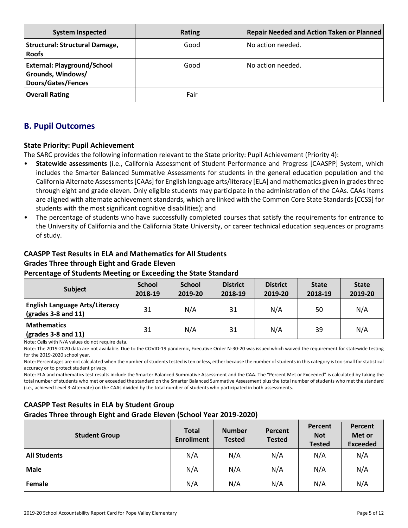| <b>System Inspected</b>                                                       | <b>Rating</b> | Repair Needed and Action Taken or Planned |
|-------------------------------------------------------------------------------|---------------|-------------------------------------------|
| Structural: Structural Damage,<br><b>Roofs</b>                                | Good          | No action needed.                         |
| <b>External: Playground/School</b><br>Grounds, Windows/<br>Doors/Gates/Fences | Good          | No action needed.                         |
| <b>Overall Rating</b>                                                         | Fair          |                                           |

# **B. Pupil Outcomes**

### **State Priority: Pupil Achievement**

The SARC provides the following information relevant to the State priority: Pupil Achievement (Priority 4):

- **Statewide assessments** (i.e., California Assessment of Student Performance and Progress [CAASPP] System, which includes the Smarter Balanced Summative Assessments for students in the general education population and the California Alternate Assessments [CAAs] for English language arts/literacy [ELA] and mathematics given in grades three through eight and grade eleven. Only eligible students may participate in the administration of the CAAs. CAAs items are aligned with alternate achievement standards, which are linked with the Common Core State Standards [CCSS] for students with the most significant cognitive disabilities); and
- The percentage of students who have successfully completed courses that satisfy the requirements for entrance to the University of California and the California State University, or career technical education sequences or programs of study.

# **CAASPP Test Results in ELA and Mathematics for All Students Grades Three through Eight and Grade Eleven**

### **Percentage of Students Meeting or Exceeding the State Standard**

| <b>Subject</b>                                                       | <b>School</b><br>2018-19 | <b>School</b><br>2019-20 | <b>District</b><br>2018-19 | <b>District</b><br>2019-20 | <b>State</b><br>2018-19 | <b>State</b><br>2019-20 |
|----------------------------------------------------------------------|--------------------------|--------------------------|----------------------------|----------------------------|-------------------------|-------------------------|
| <b>English Language Arts/Literacy</b><br>$\vert$ (grades 3-8 and 11) | 31                       | N/A                      | 31                         | N/A                        | 50                      | N/A                     |
| Mathematics<br>$\vert$ (grades 3-8 and 11)                           | 31                       | N/A                      | 31                         | N/A                        | 39                      | N/A                     |

Note: Cells with N/A values do not require data.

Note: The 2019-2020 data are not available. Due to the COVID-19 pandemic, Executive Order N-30-20 was issued which waived the requirement for statewide testing for the 2019-2020 school year.

Note: Percentages are not calculated when the number of students tested is ten or less, either because the number of students in this category is too small for statistical accuracy or to protect student privacy.

Note: ELA and mathematics test results include the Smarter Balanced Summative Assessment and the CAA. The "Percent Met or Exceeded" is calculated by taking the total number of students who met or exceeded the standard on the Smarter Balanced Summative Assessment plus the total number of students who met the standard (i.e., achieved Level 3-Alternate) on the CAAs divided by the total number of students who participated in both assessments.

### **CAASPP Test Results in ELA by Student Group Grades Three through Eight and Grade Eleven (School Year 2019-2020)**

| <b>Student Group</b> | <b>Total</b><br><b>Enrollment</b> | <b>Number</b><br><b>Tested</b> | Percent<br><b>Tested</b> | Percent<br><b>Not</b><br><b>Tested</b> | Percent<br>Met or<br><b>Exceeded</b> |
|----------------------|-----------------------------------|--------------------------------|--------------------------|----------------------------------------|--------------------------------------|
| <b>All Students</b>  | N/A                               | N/A                            | N/A                      | N/A                                    | N/A                                  |
| <b>Male</b>          | N/A                               | N/A                            | N/A                      | N/A                                    | N/A                                  |
| Female               | N/A                               | N/A                            | N/A                      | N/A                                    | N/A                                  |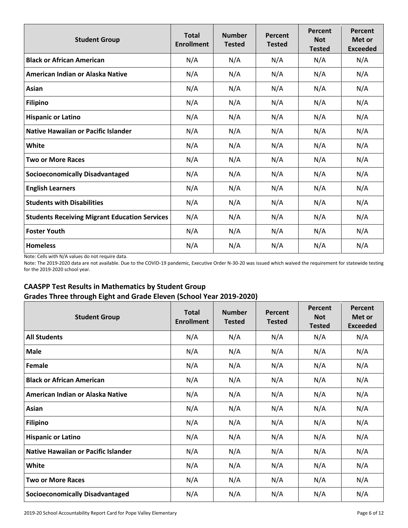| <b>Student Group</b>                                 | <b>Total</b><br><b>Enrollment</b> | <b>Number</b><br><b>Tested</b> | Percent<br><b>Tested</b> | Percent<br><b>Not</b><br><b>Tested</b> | Percent<br>Met or<br><b>Exceeded</b> |
|------------------------------------------------------|-----------------------------------|--------------------------------|--------------------------|----------------------------------------|--------------------------------------|
| <b>Black or African American</b>                     | N/A                               | N/A                            | N/A                      | N/A                                    | N/A                                  |
| American Indian or Alaska Native                     | N/A                               | N/A                            | N/A                      | N/A                                    | N/A                                  |
| Asian                                                | N/A                               | N/A                            | N/A                      | N/A                                    | N/A                                  |
| <b>Filipino</b>                                      | N/A                               | N/A                            | N/A                      | N/A                                    | N/A                                  |
| <b>Hispanic or Latino</b>                            | N/A                               | N/A                            | N/A                      | N/A                                    | N/A                                  |
| <b>Native Hawaiian or Pacific Islander</b>           | N/A                               | N/A                            | N/A                      | N/A                                    | N/A                                  |
| White                                                | N/A                               | N/A                            | N/A                      | N/A                                    | N/A                                  |
| <b>Two or More Races</b>                             | N/A                               | N/A                            | N/A                      | N/A                                    | N/A                                  |
| <b>Socioeconomically Disadvantaged</b>               | N/A                               | N/A                            | N/A                      | N/A                                    | N/A                                  |
| <b>English Learners</b>                              | N/A                               | N/A                            | N/A                      | N/A                                    | N/A                                  |
| <b>Students with Disabilities</b>                    | N/A                               | N/A                            | N/A                      | N/A                                    | N/A                                  |
| <b>Students Receiving Migrant Education Services</b> | N/A                               | N/A                            | N/A                      | N/A                                    | N/A                                  |
| <b>Foster Youth</b>                                  | N/A                               | N/A                            | N/A                      | N/A                                    | N/A                                  |
| <b>Homeless</b>                                      | N/A                               | N/A                            | N/A                      | N/A                                    | N/A                                  |

Note: Cells with N/A values do not require data.

Note: The 2019-2020 data are not available. Due to the COVID-19 pandemic, Executive Order N-30-20 was issued which waived the requirement for statewide testing for the 2019-2020 school year.

# **CAASPP Test Results in Mathematics by Student Group Grades Three through Eight and Grade Eleven (School Year 2019-2020)**

| <b>Student Group</b>                       | <b>Total</b><br><b>Enrollment</b> | <b>Number</b><br><b>Tested</b> | Percent<br><b>Tested</b> | Percent<br><b>Not</b><br><b>Tested</b> | Percent<br>Met or<br><b>Exceeded</b> |
|--------------------------------------------|-----------------------------------|--------------------------------|--------------------------|----------------------------------------|--------------------------------------|
| <b>All Students</b>                        | N/A                               | N/A                            | N/A                      | N/A                                    | N/A                                  |
| <b>Male</b>                                | N/A                               | N/A                            | N/A                      | N/A                                    | N/A                                  |
| Female                                     | N/A                               | N/A                            | N/A                      | N/A                                    | N/A                                  |
| <b>Black or African American</b>           | N/A                               | N/A                            | N/A                      | N/A                                    | N/A                                  |
| American Indian or Alaska Native           | N/A                               | N/A                            | N/A                      | N/A                                    | N/A                                  |
| Asian                                      | N/A                               | N/A                            | N/A                      | N/A                                    | N/A                                  |
| <b>Filipino</b>                            | N/A                               | N/A                            | N/A                      | N/A                                    | N/A                                  |
| <b>Hispanic or Latino</b>                  | N/A                               | N/A                            | N/A                      | N/A                                    | N/A                                  |
| <b>Native Hawaiian or Pacific Islander</b> | N/A                               | N/A                            | N/A                      | N/A                                    | N/A                                  |
| White                                      | N/A                               | N/A                            | N/A                      | N/A                                    | N/A                                  |
| <b>Two or More Races</b>                   | N/A                               | N/A                            | N/A                      | N/A                                    | N/A                                  |
| <b>Socioeconomically Disadvantaged</b>     | N/A                               | N/A                            | N/A                      | N/A                                    | N/A                                  |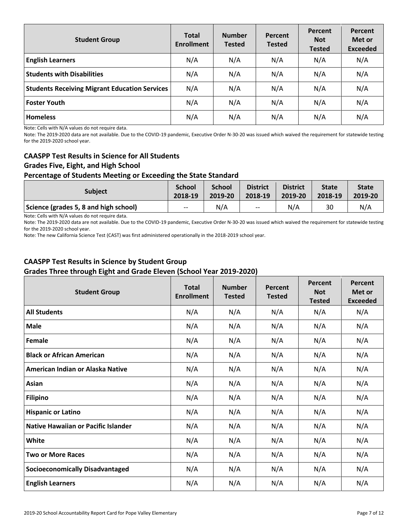| <b>Student Group</b>                                 | <b>Total</b><br><b>Enrollment</b> | <b>Number</b><br><b>Tested</b> | Percent<br><b>Tested</b> | Percent<br><b>Not</b><br><b>Tested</b> | Percent<br>Met or<br><b>Exceeded</b> |
|------------------------------------------------------|-----------------------------------|--------------------------------|--------------------------|----------------------------------------|--------------------------------------|
| <b>English Learners</b>                              | N/A                               | N/A                            | N/A                      | N/A                                    | N/A                                  |
| <b>Students with Disabilities</b>                    | N/A                               | N/A                            | N/A                      | N/A                                    | N/A                                  |
| <b>Students Receiving Migrant Education Services</b> | N/A                               | N/A                            | N/A                      | N/A                                    | N/A                                  |
| <b>Foster Youth</b>                                  | N/A                               | N/A                            | N/A                      | N/A                                    | N/A                                  |
| <b>Homeless</b>                                      | N/A                               | N/A                            | N/A                      | N/A                                    | N/A                                  |

Note: Cells with N/A values do not require data.

Note: The 2019-2020 data are not available. Due to the COVID-19 pandemic, Executive Order N-30-20 was issued which waived the requirement for statewide testing for the 2019-2020 school year.

### **CAASPP Test Results in Science for All Students Grades Five, Eight, and High School Percentage of Students Meeting or Exceeding the State Standard**

| <b>Subject</b> | <b>School</b> | <b>School</b> | <b>District</b> | <b>District</b> | <b>State</b> | <b>State</b> |
|----------------|---------------|---------------|-----------------|-----------------|--------------|--------------|
|                | 2018-19       |               |                 |                 | $2018-19$    | 2019-20      |
|                |               |               |                 |                 |              |              |

**Science (grades 5, 8 and high school)**  $\qquad$   $\qquad$  -- N/A  $\qquad$  -- N/A  $\qquad$  30 N/A Note: Cells with N/A values do not require data.

Note: The 2019-2020 data are not available. Due to the COVID-19 pandemic, Executive Order N-30-20 was issued which waived the requirement for statewide testing for the 2019-2020 school year.

Note: The new California Science Test (CAST) was first administered operationally in the 2018-2019 school year.

### **CAASPP Test Results in Science by Student Group Grades Three through Eight and Grade Eleven (School Year 2019-2020)**

| <b>Student Group</b>                   | <b>Total</b><br><b>Enrollment</b> | <b>Number</b><br><b>Tested</b> | <b>Percent</b><br><b>Tested</b> | Percent<br><b>Not</b><br><b>Tested</b> | Percent<br>Met or<br><b>Exceeded</b> |
|----------------------------------------|-----------------------------------|--------------------------------|---------------------------------|----------------------------------------|--------------------------------------|
| <b>All Students</b>                    | N/A                               | N/A                            | N/A                             | N/A                                    | N/A                                  |
| <b>Male</b>                            | N/A                               | N/A                            | N/A                             | N/A                                    | N/A                                  |
| Female                                 | N/A                               | N/A                            | N/A                             | N/A                                    | N/A                                  |
| <b>Black or African American</b>       | N/A                               | N/A                            | N/A                             | N/A                                    | N/A                                  |
| American Indian or Alaska Native       | N/A                               | N/A                            | N/A                             | N/A                                    | N/A                                  |
| Asian                                  | N/A                               | N/A                            | N/A                             | N/A                                    | N/A                                  |
| <b>Filipino</b>                        | N/A                               | N/A                            | N/A                             | N/A                                    | N/A                                  |
| <b>Hispanic or Latino</b>              | N/A                               | N/A                            | N/A                             | N/A                                    | N/A                                  |
| Native Hawaiian or Pacific Islander    | N/A                               | N/A                            | N/A                             | N/A                                    | N/A                                  |
| <b>White</b>                           | N/A                               | N/A                            | N/A                             | N/A                                    | N/A                                  |
| <b>Two or More Races</b>               | N/A                               | N/A                            | N/A                             | N/A                                    | N/A                                  |
| <b>Socioeconomically Disadvantaged</b> | N/A                               | N/A                            | N/A                             | N/A                                    | N/A                                  |
| <b>English Learners</b>                | N/A                               | N/A                            | N/A                             | N/A                                    | N/A                                  |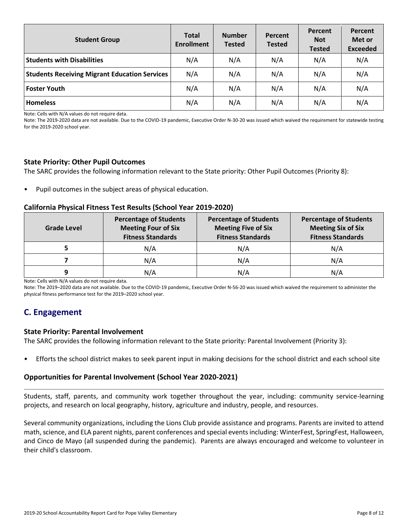| <b>Student Group</b>                                 | <b>Total</b><br><b>Enrollment</b> | <b>Number</b><br><b>Tested</b> | Percent<br><b>Tested</b> | Percent<br><b>Not</b><br><b>Tested</b> | Percent<br>Met or<br><b>Exceeded</b> |
|------------------------------------------------------|-----------------------------------|--------------------------------|--------------------------|----------------------------------------|--------------------------------------|
| <b>Students with Disabilities</b>                    | N/A                               | N/A                            | N/A                      | N/A                                    | N/A                                  |
| <b>Students Receiving Migrant Education Services</b> | N/A                               | N/A                            | N/A                      | N/A                                    | N/A                                  |
| <b>Foster Youth</b>                                  | N/A                               | N/A                            | N/A                      | N/A                                    | N/A                                  |
| <b>Homeless</b>                                      | N/A                               | N/A                            | N/A                      | N/A                                    | N/A                                  |

Note: Cells with N/A values do not require data.

Note: The 2019-2020 data are not available. Due to the COVID-19 pandemic, Executive Order N-30-20 was issued which waived the requirement for statewide testing for the 2019-2020 school year.

#### **State Priority: Other Pupil Outcomes**

The SARC provides the following information relevant to the State priority: Other Pupil Outcomes (Priority 8):

• Pupil outcomes in the subject areas of physical education.

#### **California Physical Fitness Test Results (School Year 2019-2020)**

| <b>Grade Level</b> | <b>Percentage of Students</b><br><b>Meeting Four of Six</b><br><b>Fitness Standards</b> | <b>Percentage of Students</b><br><b>Meeting Five of Six</b><br><b>Fitness Standards</b> | <b>Percentage of Students</b><br><b>Meeting Six of Six</b><br><b>Fitness Standards</b> |
|--------------------|-----------------------------------------------------------------------------------------|-----------------------------------------------------------------------------------------|----------------------------------------------------------------------------------------|
|                    | N/A                                                                                     | N/A                                                                                     | N/A                                                                                    |
|                    | N/A                                                                                     | N/A                                                                                     | N/A                                                                                    |
| a                  | N/A                                                                                     | N/A                                                                                     | N/A                                                                                    |

Note: Cells with N/A values do not require data.

Note: The 2019–2020 data are not available. Due to the COVID-19 pandemic, Executive Order N-56-20 was issued which waived the requirement to administer the physical fitness performance test for the 2019–2020 school year.

### **C. Engagement**

#### **State Priority: Parental Involvement**

The SARC provides the following information relevant to the State priority: Parental Involvement (Priority 3):

• Efforts the school district makes to seek parent input in making decisions for the school district and each school site

### **Opportunities for Parental Involvement (School Year 2020-2021)**

Students, staff, parents, and community work together throughout the year, including: community service-learning projects, and research on local geography, history, agriculture and industry, people, and resources.

Several community organizations, including the Lions Club provide assistance and programs. Parents are invited to attend math, science, and ELA parent nights, parent conferences and special events including: WinterFest, SpringFest, Halloween, and Cinco de Mayo (all suspended during the pandemic). Parents are always encouraged and welcome to volunteer in their child's classroom.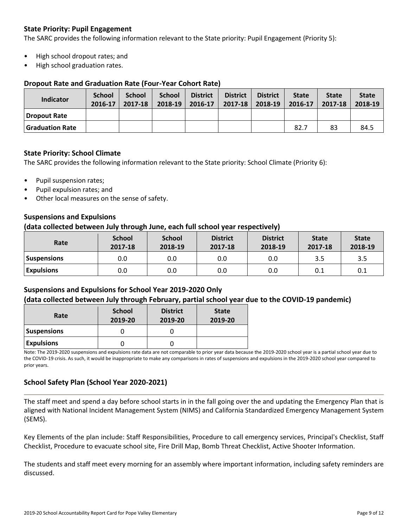### **State Priority: Pupil Engagement**

The SARC provides the following information relevant to the State priority: Pupil Engagement (Priority 5):

- High school dropout rates; and
- High school graduation rates.

### **Dropout Rate and Graduation Rate (Four-Year Cohort Rate)**

| Indicator              | School<br>2016-17 | <b>School</b><br>2017-18 | <b>School</b><br>$2018-19$ | <b>District</b><br>$2016 - 17$ | <b>District</b><br>$2017 - 18$ | <b>District</b><br>2018-19 | <b>State</b><br>2016-17 | <b>State</b><br>2017-18 | <b>State</b><br>2018-19 |
|------------------------|-------------------|--------------------------|----------------------------|--------------------------------|--------------------------------|----------------------------|-------------------------|-------------------------|-------------------------|
| <b>Dropout Rate</b>    |                   |                          |                            |                                |                                |                            |                         |                         |                         |
| <b>Graduation Rate</b> |                   |                          |                            |                                |                                |                            | 82.7                    | 83                      | 84.5                    |

### **State Priority: School Climate**

The SARC provides the following information relevant to the State priority: School Climate (Priority 6):

- Pupil suspension rates;
- Pupil expulsion rates; and
- Other local measures on the sense of safety.

### **Suspensions and Expulsions**

#### **(data collected between July through June, each full school year respectively)**

| Rate              | <b>School</b><br><b>School</b><br><b>District</b><br>2018-19<br>2017-18<br>2017-18 |     | <b>District</b><br>2018-19 | <b>State</b><br>2017-18 | <b>State</b><br>2018-19 |     |
|-------------------|------------------------------------------------------------------------------------|-----|----------------------------|-------------------------|-------------------------|-----|
| Suspensions       | 0.0                                                                                | 0.0 | 0.0                        | 0.0                     | 3.5                     | 3.5 |
| <b>Expulsions</b> | 0.0                                                                                | 0.0 | 0.0                        | 0.0                     | 0.1                     | 0.1 |

### **Suspensions and Expulsions for School Year 2019-2020 Only (data collected between July through February, partial school year due to the COVID-19 pandemic)**

| Rate               | <b>School</b><br>2019-20 | <b>District</b><br>2019-20 | <b>State</b><br>2019-20 |
|--------------------|--------------------------|----------------------------|-------------------------|
| <b>Suspensions</b> |                          |                            |                         |
| <b>Expulsions</b>  |                          |                            |                         |

Note: The 2019-2020 suspensions and expulsions rate data are not comparable to prior year data because the 2019-2020 school year is a partial school year due to the COVID-19 crisis. As such, it would be inappropriate to make any comparisons in rates of suspensions and expulsions in the 2019-2020 school year compared to prior years.

### **School Safety Plan (School Year 2020-2021)**

The staff meet and spend a day before school starts in in the fall going over the and updating the Emergency Plan that is aligned with National Incident Management System (NIMS) and California Standardized Emergency Management System (SEMS).

Key Elements of the plan include: Staff Responsibilities, Procedure to call emergency services, Principal's Checklist, Staff Checklist, Procedure to evacuate school site, Fire Drill Map, Bomb Threat Checklist, Active Shooter Information.

The students and staff meet every morning for an assembly where important information, including safety reminders are discussed.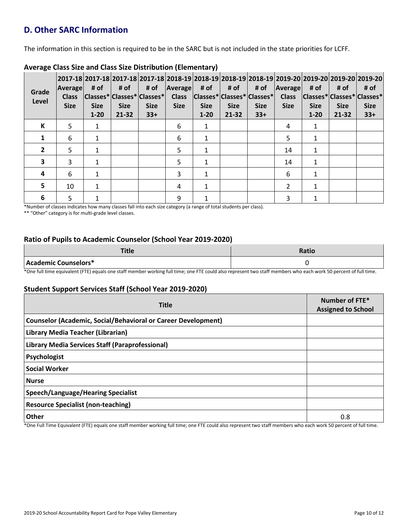# **D. Other SARC Information**

The information in this section is required to be in the SARC but is not included in the state priorities for LCFF.

| Grade<br>Level | <b>Average</b><br><b>Class</b><br><b>Size</b> | # of<br><b>Size</b><br>$1 - 20$ | # of<br><b>Size</b><br>$21 - 32$ | # of<br> Classes* Classes* Classes* <br><b>Size</b><br>$33+$ | <b>Average</b><br><b>Class</b><br><b>Size</b> | # of<br> Classes* Classes* Classes* <br><b>Size</b><br>$1 - 20$ | # of<br><b>Size</b><br>21-32 | # of<br><b>Size</b><br>$33+$ | <b>Average</b><br><b>Class</b><br><b>Size</b> | # of<br><b>Size</b><br>$1 - 20$ | # of<br><b>Size</b><br>21-32 | 2017-18 2017-18 2017-18 2017-18 2018-19 2018-19 2018-19 2018-19 2019-20 2019-20 2019-20 2019-20 <br># of<br> Classes* Classes* Classes*<br><b>Size</b><br>$33+$ |
|----------------|-----------------------------------------------|---------------------------------|----------------------------------|--------------------------------------------------------------|-----------------------------------------------|-----------------------------------------------------------------|------------------------------|------------------------------|-----------------------------------------------|---------------------------------|------------------------------|-----------------------------------------------------------------------------------------------------------------------------------------------------------------|
| К              | 5                                             | 1                               |                                  |                                                              | 6                                             | 1                                                               |                              |                              | 4                                             | 1                               |                              |                                                                                                                                                                 |
| 1              | 6                                             |                                 |                                  |                                                              | 6                                             | 1                                                               |                              |                              | 5                                             | 1                               |                              |                                                                                                                                                                 |
| $\overline{2}$ | 5                                             | 1                               |                                  |                                                              | 5                                             | $\mathbf{1}$                                                    |                              |                              | 14                                            | 1                               |                              |                                                                                                                                                                 |
| 3              | 3                                             |                                 |                                  |                                                              | 5                                             | 1                                                               |                              |                              | 14                                            | 1                               |                              |                                                                                                                                                                 |
| 4              | 6                                             | 1                               |                                  |                                                              | 3                                             | 1                                                               |                              |                              | 6                                             | 1                               |                              |                                                                                                                                                                 |
| 5              | 10                                            |                                 |                                  |                                                              | 4                                             | 1                                                               |                              |                              | $\overline{2}$                                | 1                               |                              |                                                                                                                                                                 |
| 6              | 5                                             |                                 |                                  |                                                              | 9                                             |                                                                 |                              |                              | 3                                             |                                 |                              |                                                                                                                                                                 |

### **Average Class Size and Class Size Distribution (Elementary)**

\*Number of classes indicates how many classes fall into each size category (a range of total students per class).

\*\* "Other" category is for multi-grade level classes.

### **Ratio of Pupils to Academic Counselor (School Year 2019-2020)**

| <b>THEFT</b><br>ritie | Ratio |
|-----------------------|-------|
| Academic Counselors*  |       |

\*One full time equivalent (FTE) equals one staff member working full time; one FTE could also represent two staff members who each work 50 percent of full time.

### **Student Support Services Staff (School Year 2019-2020)**

| <b>Title</b>                                                         | Number of FTE*<br><b>Assigned to School</b> |
|----------------------------------------------------------------------|---------------------------------------------|
| <b>Counselor (Academic, Social/Behavioral or Career Development)</b> |                                             |
| Library Media Teacher (Librarian)                                    |                                             |
| Library Media Services Staff (Paraprofessional)                      |                                             |
| Psychologist                                                         |                                             |
| <b>Social Worker</b>                                                 |                                             |
| <b>Nurse</b>                                                         |                                             |
| <b>Speech/Language/Hearing Specialist</b>                            |                                             |
| <b>Resource Specialist (non-teaching)</b>                            |                                             |
| Other<br>$\sim$                                                      | 0.8                                         |

\*One Full Time Equivalent (FTE) equals one staff member working full time; one FTE could also represent two staff members who each work 50 percent of full time.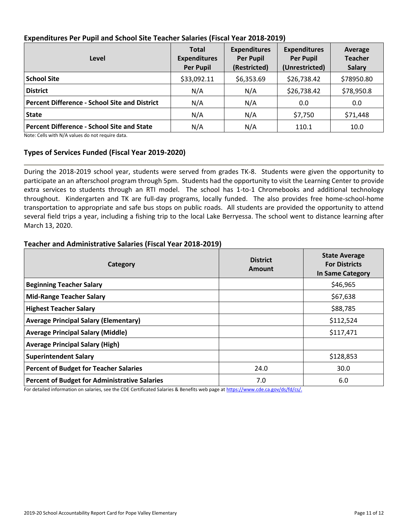| Level                                                | <b>Total</b><br><b>Expenditures</b><br><b>Per Pupil</b> | <b>Expenditures</b><br><b>Per Pupil</b><br>(Restricted) | <b>Expenditures</b><br><b>Per Pupil</b><br>(Unrestricted) | Average<br><b>Teacher</b><br><b>Salary</b> |
|------------------------------------------------------|---------------------------------------------------------|---------------------------------------------------------|-----------------------------------------------------------|--------------------------------------------|
| <b>School Site</b>                                   | \$33,092.11                                             | \$6,353.69                                              | \$26,738.42                                               | \$78950.80                                 |
| <b>District</b>                                      | N/A                                                     | N/A                                                     | \$26,738.42                                               | \$78,950.8                                 |
| <b>Percent Difference - School Site and District</b> | N/A                                                     | N/A                                                     | 0.0                                                       | 0.0                                        |
| <b>State</b>                                         | N/A                                                     | N/A                                                     | \$7,750                                                   | \$71,448                                   |
| <b>Percent Difference - School Site and State</b>    | N/A                                                     | N/A                                                     | 110.1                                                     | 10.0                                       |

### **Expenditures Per Pupil and School Site Teacher Salaries (Fiscal Year 2018-2019)**

Note: Cells with N/A values do not require data.

### **Types of Services Funded (Fiscal Year 2019-2020)**

During the 2018-2019 school year, students were served from grades TK-8. Students were given the opportunity to participate an an afterschool program through 5pm. Students had the opportunity to visit the Learning Center to provide extra services to students through an RTI model. The school has 1-to-1 Chromebooks and additional technology throughout. Kindergarten and TK are full-day programs, locally funded. The also provides free home-school-home transportation to appropriate and safe bus stops on public roads. All students are provided the opportunity to attend several field trips a year, including a fishing trip to the local Lake Berryessa. The school went to distance learning after March 13, 2020.

### **Teacher and Administrative Salaries (Fiscal Year 2018-2019)**

| Category                                             | <b>District</b><br>Amount | <b>State Average</b><br><b>For Districts</b><br>In Same Category |
|------------------------------------------------------|---------------------------|------------------------------------------------------------------|
| <b>Beginning Teacher Salary</b>                      |                           | \$46,965                                                         |
| <b>Mid-Range Teacher Salary</b>                      |                           | \$67,638                                                         |
| <b>Highest Teacher Salary</b>                        |                           | \$88,785                                                         |
| <b>Average Principal Salary (Elementary)</b>         |                           | \$112,524                                                        |
| <b>Average Principal Salary (Middle)</b>             |                           | \$117,471                                                        |
| <b>Average Principal Salary (High)</b>               |                           |                                                                  |
| <b>Superintendent Salary</b>                         |                           | \$128,853                                                        |
| <b>Percent of Budget for Teacher Salaries</b>        | 24.0                      | 30.0                                                             |
| <b>Percent of Budget for Administrative Salaries</b> | 7.0                       | 6.0                                                              |

For detailed information on salaries, see the CDE Certificated Salaries & Benefits web page at https://www.cde.ca.gov/ds/fd/cs/.